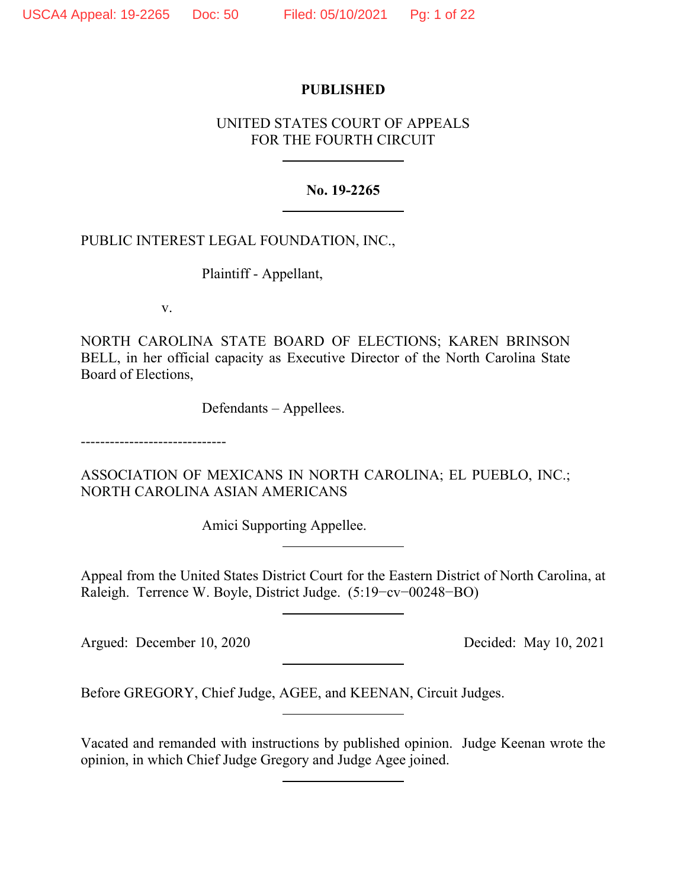# **PUBLISHED**

# UNITED STATES COURT OF APPEALS FOR THE FOURTH CIRCUIT

# **No. 19-2265**

# PUBLIC INTEREST LEGAL FOUNDATION, INC.,

Plaintiff - Appellant,

v.

NORTH CAROLINA STATE BOARD OF ELECTIONS; KAREN BRINSON BELL, in her official capacity as Executive Director of the North Carolina State Board of Elections,

Defendants – Appellees.

------------------------------

ASSOCIATION OF MEXICANS IN NORTH CAROLINA; EL PUEBLO, INC.; NORTH CAROLINA ASIAN AMERICANS

Amici Supporting Appellee.

Appeal from the United States District Court for the Eastern District of North Carolina, at Raleigh. Terrence W. Boyle, District Judge. (5:19−cv−00248−BO)

Argued: December 10, 2020 Decided: May 10, 2021

Before GREGORY, Chief Judge, AGEE, and KEENAN, Circuit Judges.

Vacated and remanded with instructions by published opinion. Judge Keenan wrote the opinion, in which Chief Judge Gregory and Judge Agee joined.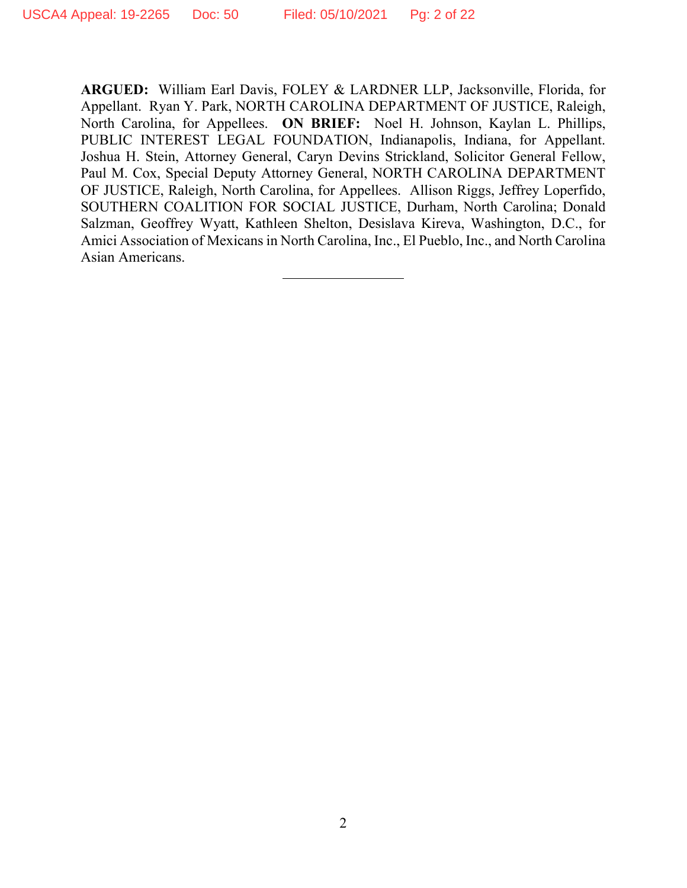**ARGUED:** William Earl Davis, FOLEY & LARDNER LLP, Jacksonville, Florida, for Appellant. Ryan Y. Park, NORTH CAROLINA DEPARTMENT OF JUSTICE, Raleigh, North Carolina, for Appellees. **ON BRIEF:** Noel H. Johnson, Kaylan L. Phillips, PUBLIC INTEREST LEGAL FOUNDATION, Indianapolis, Indiana, for Appellant. Joshua H. Stein, Attorney General, Caryn Devins Strickland, Solicitor General Fellow, Paul M. Cox, Special Deputy Attorney General, NORTH CAROLINA DEPARTMENT OF JUSTICE, Raleigh, North Carolina, for Appellees. Allison Riggs, Jeffrey Loperfido, SOUTHERN COALITION FOR SOCIAL JUSTICE, Durham, North Carolina; Donald Salzman, Geoffrey Wyatt, Kathleen Shelton, Desislava Kireva, Washington, D.C., for Amici Association of Mexicans in North Carolina, Inc., El Pueblo, Inc., and North Carolina Asian Americans.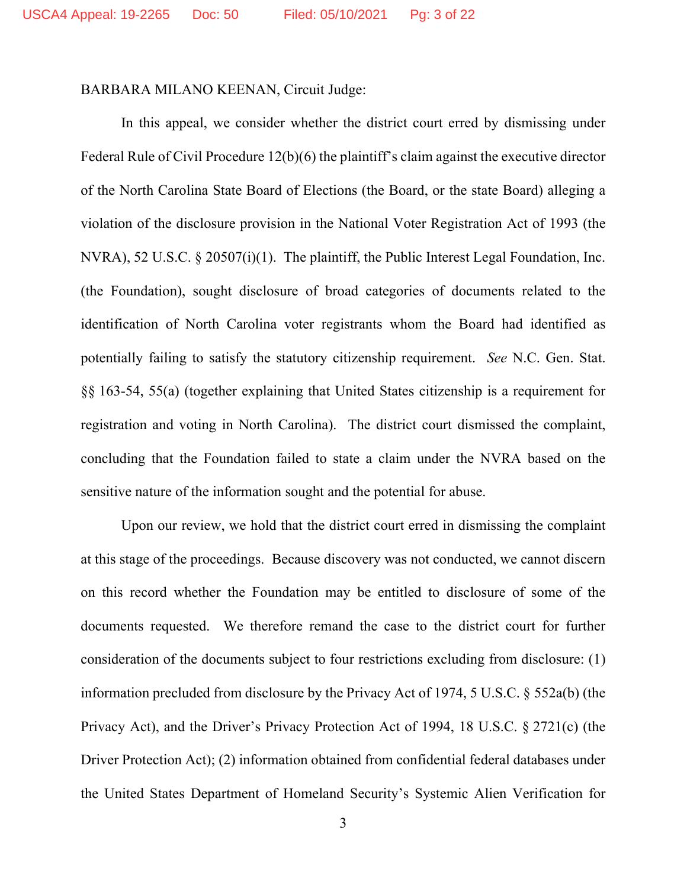### BARBARA MILANO KEENAN, Circuit Judge:

In this appeal, we consider whether the district court erred by dismissing under Federal Rule of Civil Procedure 12(b)(6) the plaintiff's claim against the executive director of the North Carolina State Board of Elections (the Board, or the state Board) alleging a violation of the disclosure provision in the National Voter Registration Act of 1993 (the NVRA), 52 U.S.C. § 20507(i)(1). The plaintiff, the Public Interest Legal Foundation, Inc. (the Foundation), sought disclosure of broad categories of documents related to the identification of North Carolina voter registrants whom the Board had identified as potentially failing to satisfy the statutory citizenship requirement. *See* N.C. Gen. Stat. §§ 163-54, 55(a) (together explaining that United States citizenship is a requirement for registration and voting in North Carolina). The district court dismissed the complaint, concluding that the Foundation failed to state a claim under the NVRA based on the sensitive nature of the information sought and the potential for abuse.

Upon our review, we hold that the district court erred in dismissing the complaint at this stage of the proceedings. Because discovery was not conducted, we cannot discern on this record whether the Foundation may be entitled to disclosure of some of the documents requested. We therefore remand the case to the district court for further consideration of the documents subject to four restrictions excluding from disclosure: (1) information precluded from disclosure by the Privacy Act of 1974, 5 U.S.C. § 552a(b) (the Privacy Act), and the Driver's Privacy Protection Act of 1994, 18 U.S.C. § 2721(c) (the Driver Protection Act); (2) information obtained from confidential federal databases under the United States Department of Homeland Security's Systemic Alien Verification for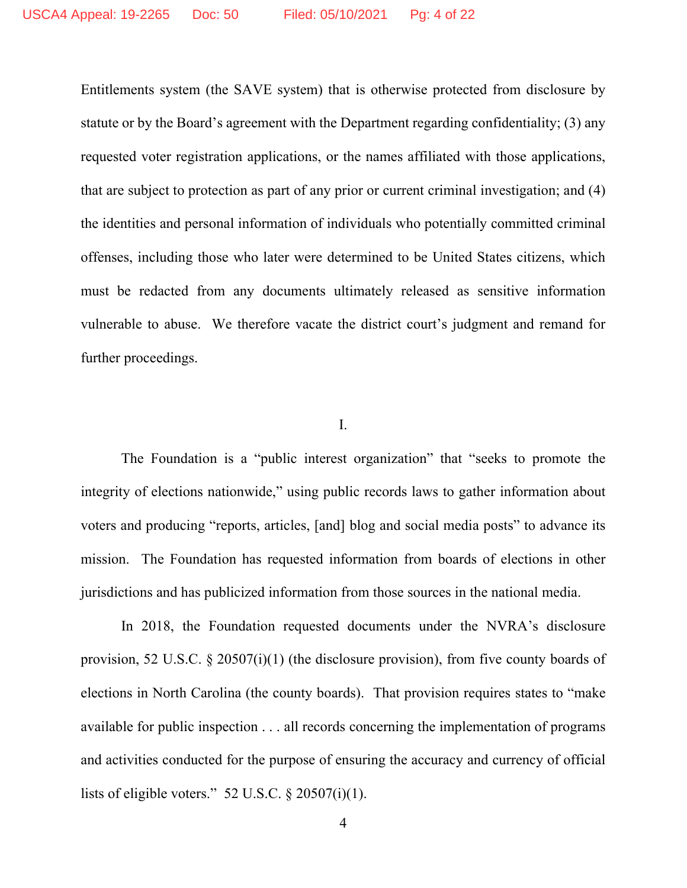Entitlements system (the SAVE system) that is otherwise protected from disclosure by statute or by the Board's agreement with the Department regarding confidentiality; (3) any requested voter registration applications, or the names affiliated with those applications, that are subject to protection as part of any prior or current criminal investigation; and (4) the identities and personal information of individuals who potentially committed criminal offenses, including those who later were determined to be United States citizens, which must be redacted from any documents ultimately released as sensitive information vulnerable to abuse. We therefore vacate the district court's judgment and remand for further proceedings.

### I.

The Foundation is a "public interest organization" that "seeks to promote the integrity of elections nationwide," using public records laws to gather information about voters and producing "reports, articles, [and] blog and social media posts" to advance its mission. The Foundation has requested information from boards of elections in other jurisdictions and has publicized information from those sources in the national media.

In 2018, the Foundation requested documents under the NVRA's disclosure provision, 52 U.S.C.  $\S 20507(i)(1)$  (the disclosure provision), from five county boards of elections in North Carolina (the county boards). That provision requires states to "make available for public inspection . . . all records concerning the implementation of programs and activities conducted for the purpose of ensuring the accuracy and currency of official lists of eligible voters." 52 U.S.C.  $\S 20507(i)(1)$ .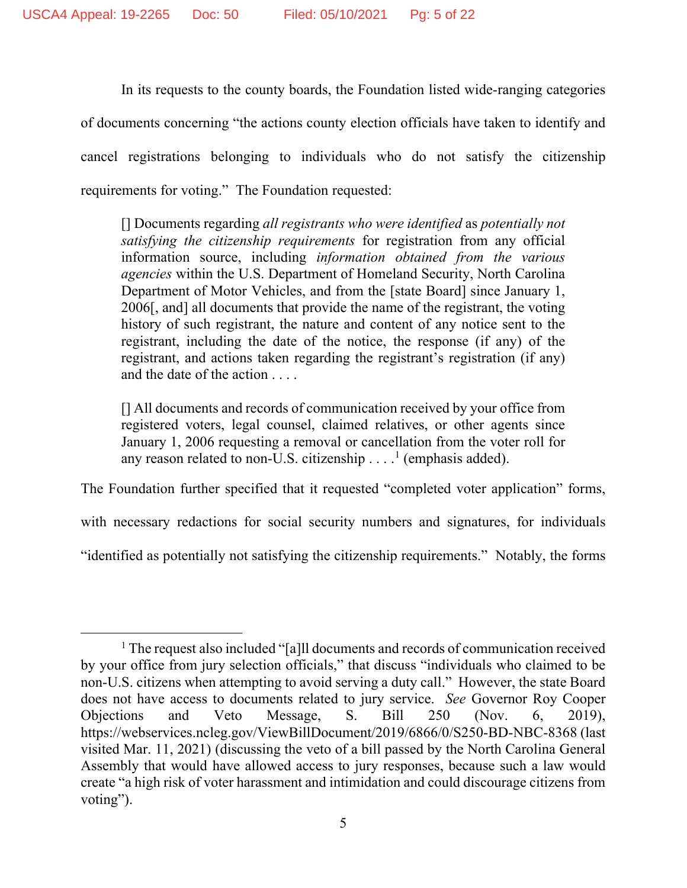In its requests to the county boards, the Foundation listed wide-ranging categories of documents concerning "the actions county election officials have taken to identify and cancel registrations belonging to individuals who do not satisfy the citizenship requirements for voting." The Foundation requested:

[] Documents regarding *all registrants who were identified* as *potentially not satisfying the citizenship requirements* for registration from any official information source, including *information obtained from the various agencies* within the U.S. Department of Homeland Security, North Carolina Department of Motor Vehicles, and from the [state Board] since January 1, 2006[, and] all documents that provide the name of the registrant, the voting history of such registrant, the nature and content of any notice sent to the registrant, including the date of the notice, the response (if any) of the registrant, and actions taken regarding the registrant's registration (if any) and the date of the action . . . .

[] All documents and records of communication received by your office from registered voters, legal counsel, claimed relatives, or other agents since January 1, 2006 requesting a removal or cancellation from the voter roll for any reason related to non-U.S. citizenship  $\dots$ <sup>1</sup> (emphasis added).

The Foundation further specified that it requested "completed voter application" forms,

with necessary redactions for social security numbers and signatures, for individuals

"identified as potentially not satisfying the citizenship requirements." Notably, the forms

<sup>&</sup>lt;sup>1</sup> The request also included "[a]ll documents and records of communication received by your office from jury selection officials," that discuss "individuals who claimed to be non-U.S. citizens when attempting to avoid serving a duty call." However, the state Board does not have access to documents related to jury service. *See* Governor Roy Cooper Objections and Veto Message, S. Bill 250 (Nov. 6, 2019), https://webservices.ncleg.gov/ViewBillDocument/2019/6866/0/S250-BD-NBC-8368 (last visited Mar. 11, 2021) (discussing the veto of a bill passed by the North Carolina General Assembly that would have allowed access to jury responses, because such a law would create "a high risk of voter harassment and intimidation and could discourage citizens from voting").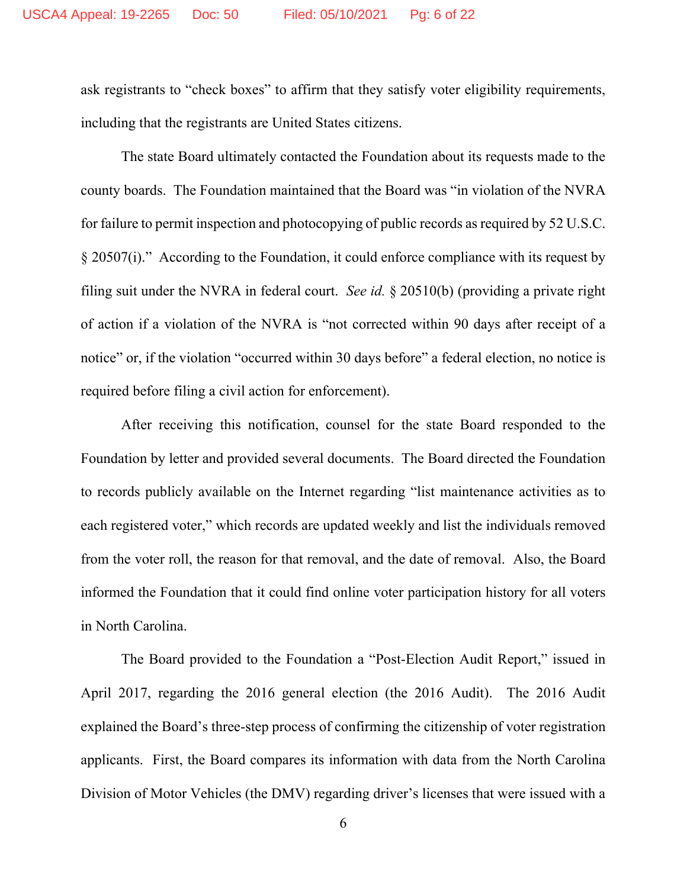ask registrants to "check boxes" to affirm that they satisfy voter eligibility requirements, including that the registrants are United States citizens.

The state Board ultimately contacted the Foundation about its requests made to the county boards. The Foundation maintained that the Board was "in violation of the NVRA for failure to permit inspection and photocopying of public records as required by 52 U.S.C. § 20507(i)." According to the Foundation, it could enforce compliance with its request by filing suit under the NVRA in federal court. *See id.* § 20510(b) (providing a private right of action if a violation of the NVRA is "not corrected within 90 days after receipt of a notice" or, if the violation "occurred within 30 days before" a federal election, no notice is required before filing a civil action for enforcement).

After receiving this notification, counsel for the state Board responded to the Foundation by letter and provided several documents. The Board directed the Foundation to records publicly available on the Internet regarding "list maintenance activities as to each registered voter," which records are updated weekly and list the individuals removed from the voter roll, the reason for that removal, and the date of removal. Also, the Board informed the Foundation that it could find online voter participation history for all voters in North Carolina.

The Board provided to the Foundation a "Post-Election Audit Report," issued in April 2017, regarding the 2016 general election (the 2016 Audit). The 2016 Audit explained the Board's three-step process of confirming the citizenship of voter registration applicants. First, the Board compares its information with data from the North Carolina Division of Motor Vehicles (the DMV) regarding driver's licenses that were issued with a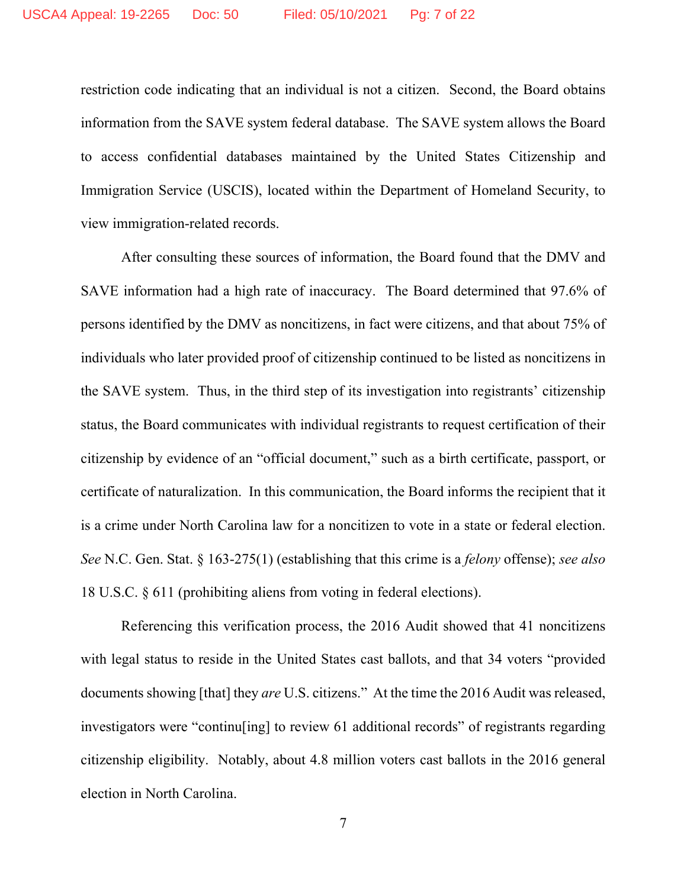restriction code indicating that an individual is not a citizen. Second, the Board obtains information from the SAVE system federal database. The SAVE system allows the Board to access confidential databases maintained by the United States Citizenship and Immigration Service (USCIS), located within the Department of Homeland Security, to view immigration-related records.

After consulting these sources of information, the Board found that the DMV and SAVE information had a high rate of inaccuracy. The Board determined that 97.6% of persons identified by the DMV as noncitizens, in fact were citizens, and that about 75% of individuals who later provided proof of citizenship continued to be listed as noncitizens in the SAVE system. Thus, in the third step of its investigation into registrants' citizenship status, the Board communicates with individual registrants to request certification of their citizenship by evidence of an "official document," such as a birth certificate, passport, or certificate of naturalization. In this communication, the Board informs the recipient that it is a crime under North Carolina law for a noncitizen to vote in a state or federal election. *See* N.C. Gen. Stat. § 163-275(1) (establishing that this crime is a *felony* offense); *see also* 18 U.S.C. § 611 (prohibiting aliens from voting in federal elections).

Referencing this verification process, the 2016 Audit showed that 41 noncitizens with legal status to reside in the United States cast ballots, and that 34 voters "provided documents showing [that] they *are* U.S. citizens." At the time the 2016 Audit was released, investigators were "continu[ing] to review 61 additional records" of registrants regarding citizenship eligibility. Notably, about 4.8 million voters cast ballots in the 2016 general election in North Carolina.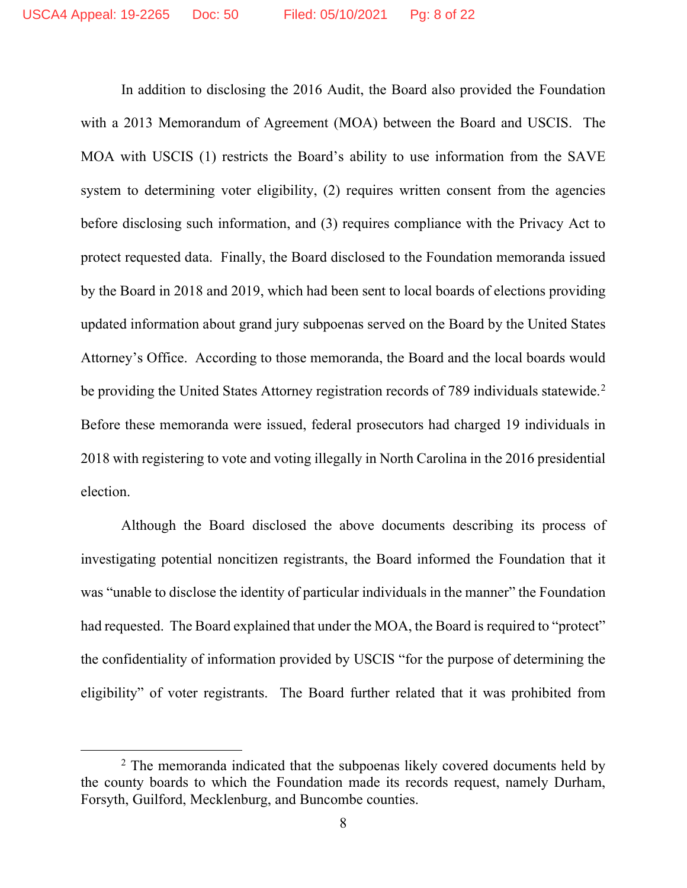In addition to disclosing the 2016 Audit, the Board also provided the Foundation with a 2013 Memorandum of Agreement (MOA) between the Board and USCIS. The MOA with USCIS (1) restricts the Board's ability to use information from the SAVE system to determining voter eligibility, (2) requires written consent from the agencies before disclosing such information, and (3) requires compliance with the Privacy Act to protect requested data.Finally, the Board disclosed to the Foundation memoranda issued by the Board in 2018 and 2019, which had been sent to local boards of elections providing updated information about grand jury subpoenas served on the Board by the United States Attorney's Office. According to those memoranda, the Board and the local boards would be providing the United States Attorney registration records of 789 individuals statewide.<sup>2</sup> Before these memoranda were issued, federal prosecutors had charged 19 individuals in 2018 with registering to vote and voting illegally in North Carolina in the 2016 presidential election.

Although the Board disclosed the above documents describing its process of investigating potential noncitizen registrants, the Board informed the Foundation that it was "unable to disclose the identity of particular individuals in the manner" the Foundation had requested. The Board explained that under the MOA, the Board is required to "protect" the confidentiality of information provided by USCIS "for the purpose of determining the eligibility" of voter registrants. The Board further related that it was prohibited from

 $2$  The memoranda indicated that the subpoenas likely covered documents held by the county boards to which the Foundation made its records request, namely Durham, Forsyth, Guilford, Mecklenburg, and Buncombe counties.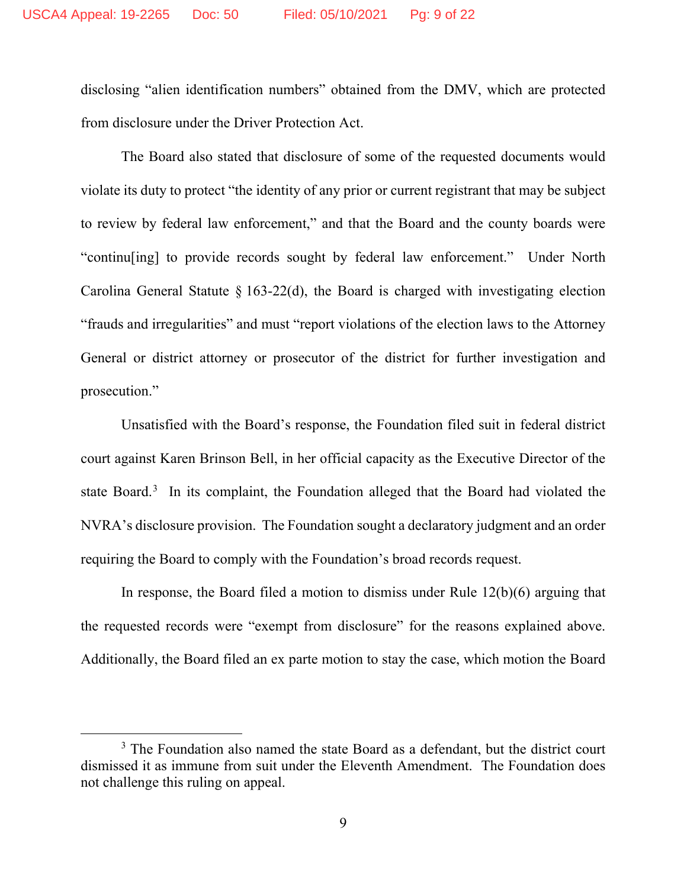disclosing "alien identification numbers" obtained from the DMV, which are protected from disclosure under the Driver Protection Act.

The Board also stated that disclosure of some of the requested documents would violate its duty to protect "the identity of any prior or current registrant that may be subject to review by federal law enforcement," and that the Board and the county boards were "continu[ing] to provide records sought by federal law enforcement." Under North Carolina General Statute  $\S$  163-22(d), the Board is charged with investigating election "frauds and irregularities" and must "report violations of the election laws to the Attorney General or district attorney or prosecutor of the district for further investigation and prosecution."

Unsatisfied with the Board's response, the Foundation filed suit in federal district court against Karen Brinson Bell, in her official capacity as the Executive Director of the state Board.<sup>3</sup> In its complaint, the Foundation alleged that the Board had violated the NVRA's disclosure provision. The Foundation sought a declaratory judgment and an order requiring the Board to comply with the Foundation's broad records request.

In response, the Board filed a motion to dismiss under Rule 12(b)(6) arguing that the requested records were "exempt from disclosure" for the reasons explained above. Additionally, the Board filed an ex parte motion to stay the case, which motion the Board

<sup>&</sup>lt;sup>3</sup> The Foundation also named the state Board as a defendant, but the district court dismissed it as immune from suit under the Eleventh Amendment. The Foundation does not challenge this ruling on appeal.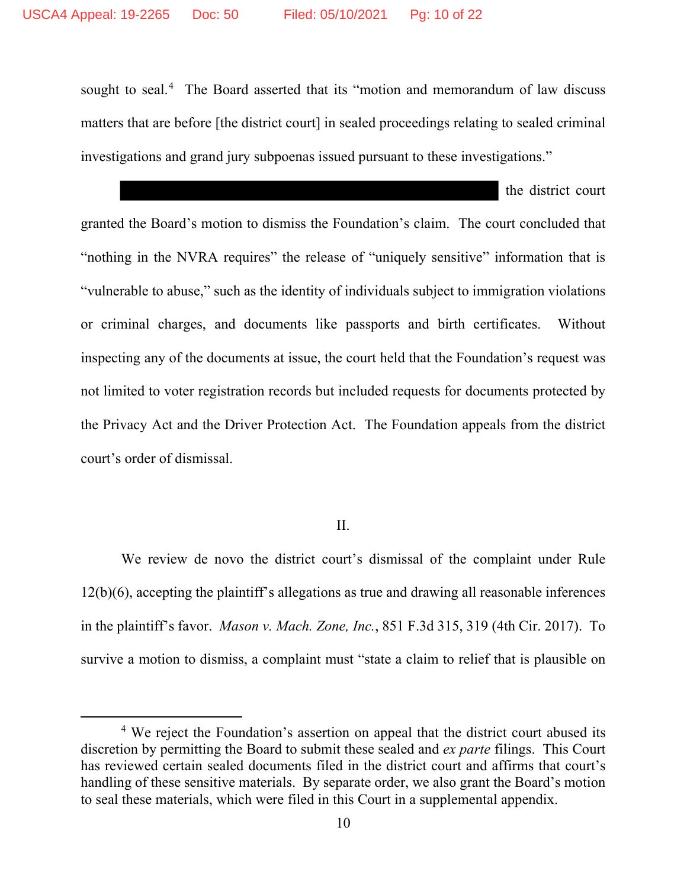sought to seal.<sup>4</sup> The Board asserted that its "motion and memorandum of law discuss matters that are before [the district court] in sealed proceedings relating to sealed criminal investigations and grand jury subpoenas issued pursuant to these investigations."

the district court

granted the Board's motion to dismiss the Foundation's claim. The court concluded that "nothing in the NVRA requires" the release of "uniquely sensitive" information that is "vulnerable to abuse," such as the identity of individuals subject to immigration violations or criminal charges, and documents like passports and birth certificates. Without inspecting any of the documents at issue, the court held that the Foundation's request was not limited to voter registration records but included requests for documents protected by the Privacy Act and the Driver Protection Act. The Foundation appeals from the district court's order of dismissal.

II.

We review de novo the district court's dismissal of the complaint under Rule 12(b)(6), accepting the plaintiff's allegations as true and drawing all reasonable inferences in the plaintiff's favor. *Mason v. Mach. Zone, Inc.*, 851 F.3d 315, 319 (4th Cir. 2017). To survive a motion to dismiss, a complaint must "state a claim to relief that is plausible on

<sup>&</sup>lt;sup>4</sup> We reject the Foundation's assertion on appeal that the district court abused its discretion by permitting the Board to submit these sealed and *ex parte* filings. This Court has reviewed certain sealed documents filed in the district court and affirms that court's handling of these sensitive materials. By separate order, we also grant the Board's motion to seal these materials, which were filed in this Court in a supplemental appendix.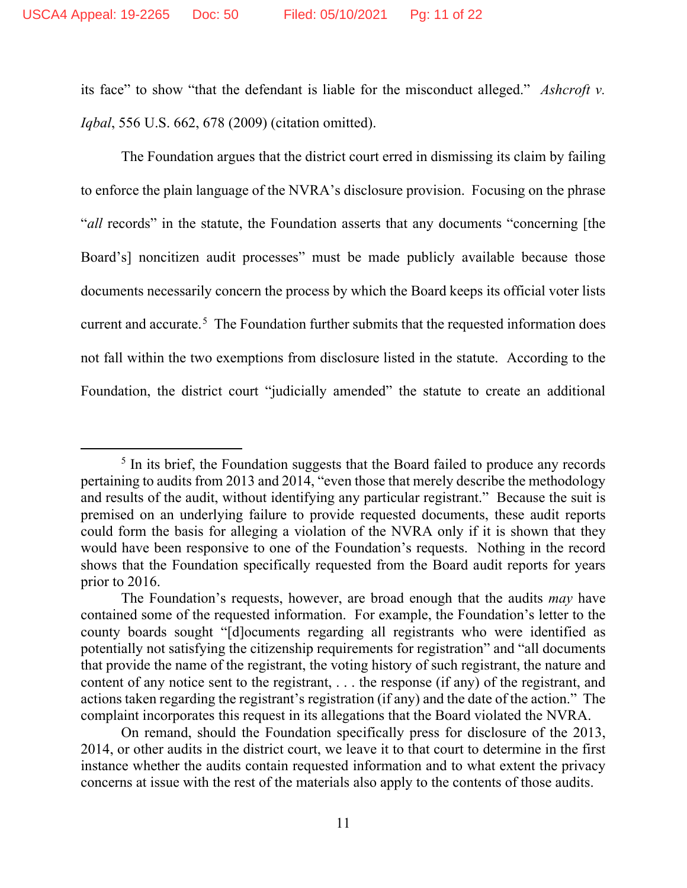its face" to show "that the defendant is liable for the misconduct alleged." *Ashcroft v. Iqbal*, 556 U.S. 662, 678 (2009) (citation omitted).

The Foundation argues that the district court erred in dismissing its claim by failing to enforce the plain language of the NVRA's disclosure provision. Focusing on the phrase "*all* records" in the statute, the Foundation asserts that any documents "concerning [the Board's] noncitizen audit processes" must be made publicly available because those documents necessarily concern the process by which the Board keeps its official voter lists current and accurate.<sup>5</sup> The Foundation further submits that the requested information does not fall within the two exemptions from disclosure listed in the statute. According to the Foundation, the district court "judicially amended" the statute to create an additional

<sup>&</sup>lt;sup>5</sup> In its brief, the Foundation suggests that the Board failed to produce any records pertaining to audits from 2013 and 2014, "even those that merely describe the methodology and results of the audit, without identifying any particular registrant." Because the suit is premised on an underlying failure to provide requested documents, these audit reports could form the basis for alleging a violation of the NVRA only if it is shown that they would have been responsive to one of the Foundation's requests. Nothing in the record shows that the Foundation specifically requested from the Board audit reports for years prior to 2016.

The Foundation's requests, however, are broad enough that the audits *may* have contained some of the requested information. For example, the Foundation's letter to the county boards sought "[d]ocuments regarding all registrants who were identified as potentially not satisfying the citizenship requirements for registration" and "all documents that provide the name of the registrant, the voting history of such registrant, the nature and content of any notice sent to the registrant, . . . the response (if any) of the registrant, and actions taken regarding the registrant's registration (if any) and the date of the action." The complaint incorporates this request in its allegations that the Board violated the NVRA.

On remand, should the Foundation specifically press for disclosure of the 2013, 2014, or other audits in the district court, we leave it to that court to determine in the first instance whether the audits contain requested information and to what extent the privacy concerns at issue with the rest of the materials also apply to the contents of those audits.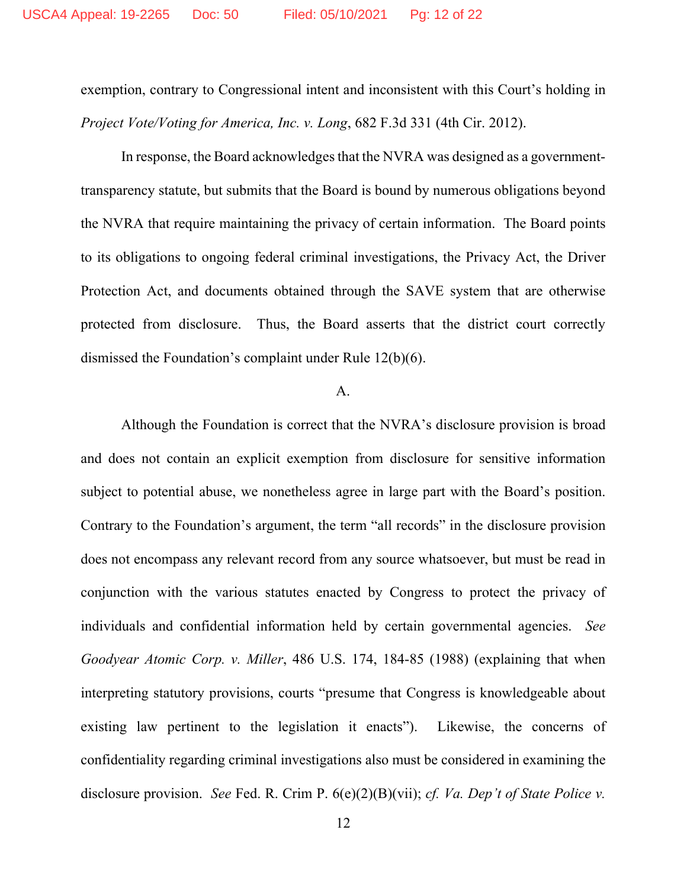exemption, contrary to Congressional intent and inconsistent with this Court's holding in *Project Vote/Voting for America, Inc. v. Long*, 682 F.3d 331 (4th Cir. 2012).

In response, the Board acknowledges that the NVRA was designed as a governmenttransparency statute, but submits that the Board is bound by numerous obligations beyond the NVRA that require maintaining the privacy of certain information. The Board points to its obligations to ongoing federal criminal investigations, the Privacy Act, the Driver Protection Act, and documents obtained through the SAVE system that are otherwise protected from disclosure. Thus, the Board asserts that the district court correctly dismissed the Foundation's complaint under Rule 12(b)(6).

## A.

Although the Foundation is correct that the NVRA's disclosure provision is broad and does not contain an explicit exemption from disclosure for sensitive information subject to potential abuse, we nonetheless agree in large part with the Board's position. Contrary to the Foundation's argument, the term "all records" in the disclosure provision does not encompass any relevant record from any source whatsoever, but must be read in conjunction with the various statutes enacted by Congress to protect the privacy of individuals and confidential information held by certain governmental agencies. *See Goodyear Atomic Corp. v. Miller*, 486 U.S. 174, 184-85 (1988) (explaining that when interpreting statutory provisions, courts "presume that Congress is knowledgeable about existing law pertinent to the legislation it enacts").Likewise, the concerns of confidentiality regarding criminal investigations also must be considered in examining the disclosure provision.*See* Fed. R. Crim P. 6(e)(2)(B)(vii); *cf. Va. Dep't of State Police v.*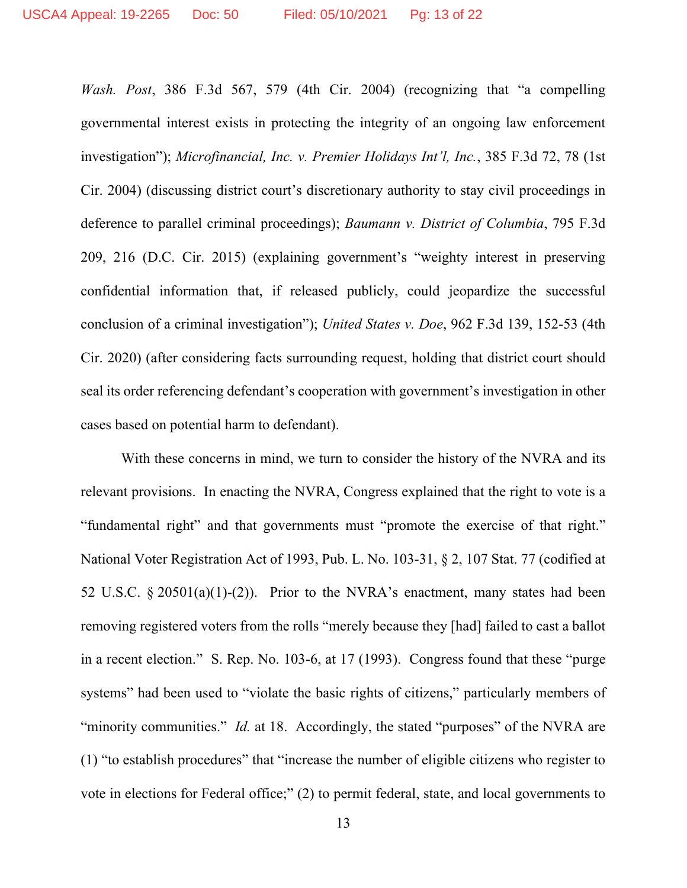*Wash. Post*, 386 F.3d 567, 579 (4th Cir. 2004) (recognizing that "a compelling governmental interest exists in protecting the integrity of an ongoing law enforcement investigation"); *Microfinancial, Inc. v. Premier Holidays Int'l, Inc.*, 385 F.3d 72, 78 (1st Cir. 2004) (discussing district court's discretionary authority to stay civil proceedings in deference to parallel criminal proceedings); *Baumann v. District of Columbia*, 795 F.3d 209, 216 (D.C. Cir. 2015) (explaining government's "weighty interest in preserving confidential information that, if released publicly, could jeopardize the successful conclusion of a criminal investigation"); *United States v. Doe*, 962 F.3d 139, 152-53 (4th Cir. 2020) (after considering facts surrounding request, holding that district court should seal its order referencing defendant's cooperation with government's investigation in other cases based on potential harm to defendant).

With these concerns in mind, we turn to consider the history of the NVRA and its relevant provisions. In enacting the NVRA, Congress explained that the right to vote is a "fundamental right" and that governments must "promote the exercise of that right." National Voter Registration Act of 1993, Pub. L. No. 103-31, § 2, 107 Stat. 77 (codified at 52 U.S.C.  $\S 20501(a)(1)-(2)$ ). Prior to the NVRA's enactment, many states had been removing registered voters from the rolls "merely because they [had] failed to cast a ballot in a recent election." S. Rep. No. 103-6, at 17 (1993). Congress found that these "purge systems" had been used to "violate the basic rights of citizens," particularly members of "minority communities." *Id.* at 18. Accordingly, the stated "purposes" of the NVRA are (1) "to establish procedures" that "increase the number of eligible citizens who register to vote in elections for Federal office;" (2) to permit federal, state, and local governments to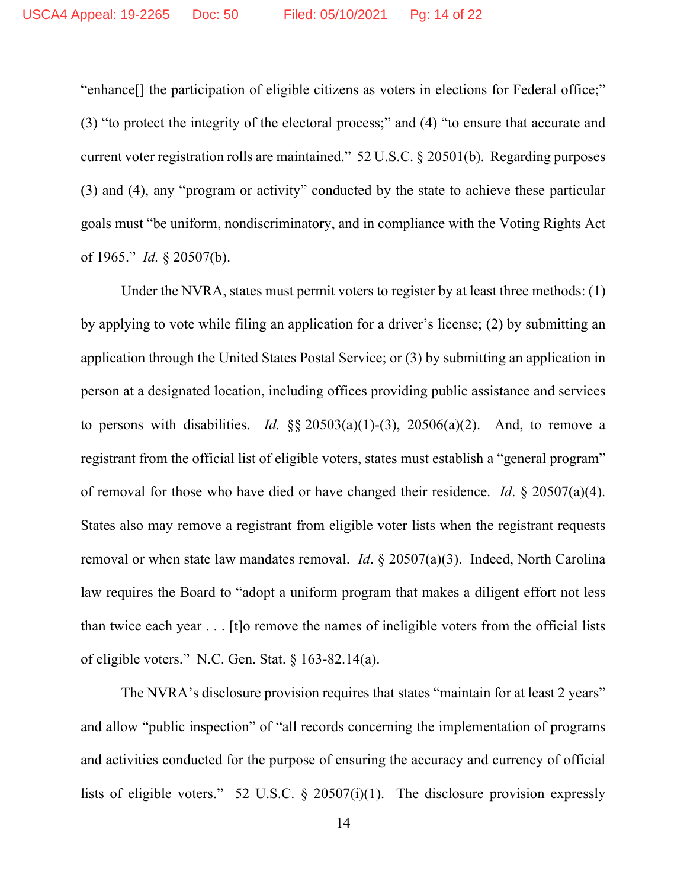"enhance[] the participation of eligible citizens as voters in elections for Federal office;" (3) "to protect the integrity of the electoral process;" and (4) "to ensure that accurate and current voter registration rolls are maintained." 52 U.S.C. § 20501(b). Regarding purposes (3) and (4), any "program or activity" conducted by the state to achieve these particular goals must "be uniform, nondiscriminatory, and in compliance with the Voting Rights Act of 1965." *Id.* § 20507(b).

Under the NVRA, states must permit voters to register by at least three methods: (1) by applying to vote while filing an application for a driver's license; (2) by submitting an application through the United States Postal Service; or (3) by submitting an application in person at a designated location, including offices providing public assistance and services to persons with disabilities. *Id.*  $\S$ § 20503(a)(1)-(3), 20506(a)(2). And, to remove a registrant from the official list of eligible voters, states must establish a "general program" of removal for those who have died or have changed their residence. *Id*. § 20507(a)(4). States also may remove a registrant from eligible voter lists when the registrant requests removal or when state law mandates removal. *Id*. § 20507(a)(3). Indeed, North Carolina law requires the Board to "adopt a uniform program that makes a diligent effort not less than twice each year . . . [t]o remove the names of ineligible voters from the official lists of eligible voters." N.C. Gen. Stat. § 163-82.14(a).

The NVRA's disclosure provision requires that states "maintain for at least 2 years" and allow "public inspection" of "all records concerning the implementation of programs and activities conducted for the purpose of ensuring the accuracy and currency of official lists of eligible voters." 52 U.S.C. § 20507(i)(1). The disclosure provision expressly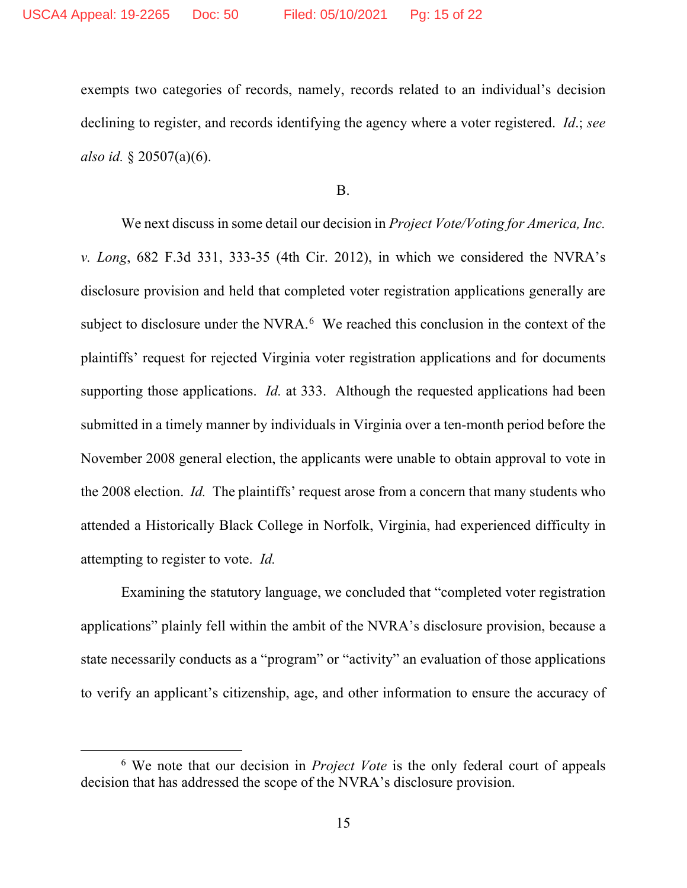exempts two categories of records, namely, records related to an individual's decision declining to register, and records identifying the agency where a voter registered. *Id*.; *see also id.* § 20507(a)(6).

B.

We next discuss in some detail our decision in *Project Vote/Voting for America, Inc. v. Long*, 682 F.3d 331, 333-35 (4th Cir. 2012), in which we considered the NVRA's disclosure provision and held that completed voter registration applications generally are subject to disclosure under the NVRA. $<sup>6</sup>$  We reached this conclusion in the context of the</sup> plaintiffs' request for rejected Virginia voter registration applications and for documents supporting those applications. *Id.* at 333. Although the requested applications had been submitted in a timely manner by individuals in Virginia over a ten-month period before the November 2008 general election, the applicants were unable to obtain approval to vote in the 2008 election. *Id.* The plaintiffs' request arose from a concern that many students who attended a Historically Black College in Norfolk, Virginia, had experienced difficulty in attempting to register to vote. *Id.*

Examining the statutory language, we concluded that "completed voter registration applications" plainly fell within the ambit of the NVRA's disclosure provision, because a state necessarily conducts as a "program" or "activity" an evaluation of those applications to verify an applicant's citizenship, age, and other information to ensure the accuracy of

<sup>6</sup> We note that our decision in *Project Vote* is the only federal court of appeals decision that has addressed the scope of the NVRA's disclosure provision.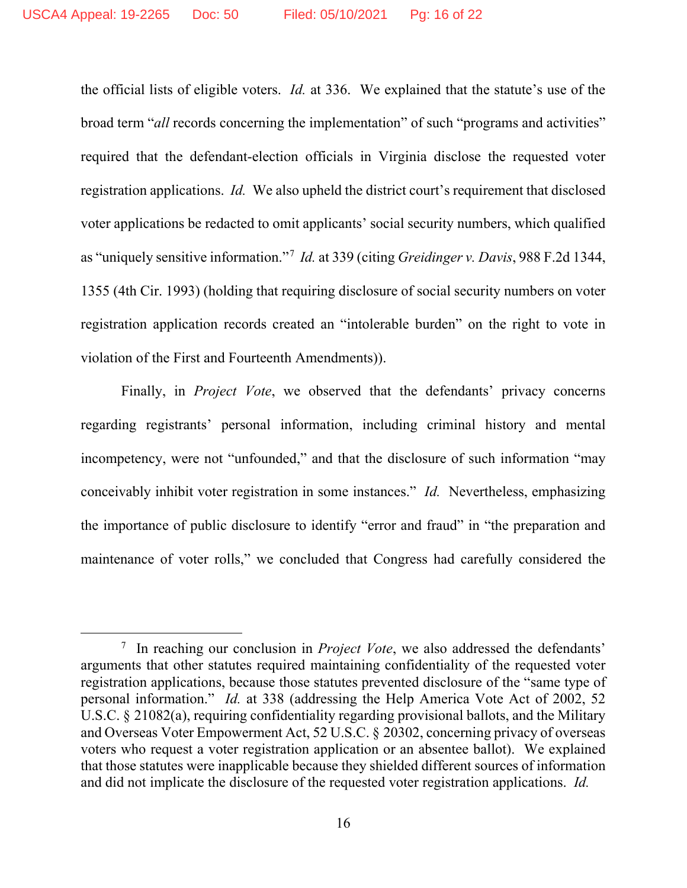the official lists of eligible voters. *Id.* at 336. We explained that the statute's use of the broad term "*all* records concerning the implementation" of such "programs and activities" required that the defendant-election officials in Virginia disclose the requested voter registration applications. *Id.* We also upheld the district court's requirement that disclosed voter applications be redacted to omit applicants' social security numbers, which qualified as "uniquely sensitive information."<sup>7</sup> *Id.* at 339 (citing *Greidinger v. Davis*, 988 F.2d 1344, 1355 (4th Cir. 1993) (holding that requiring disclosure of social security numbers on voter registration application records created an "intolerable burden" on the right to vote in violation of the First and Fourteenth Amendments)).

Finally, in *Project Vote*, we observed that the defendants' privacy concerns regarding registrants' personal information, including criminal history and mental incompetency, were not "unfounded," and that the disclosure of such information "may conceivably inhibit voter registration in some instances." *Id.* Nevertheless, emphasizing the importance of public disclosure to identify "error and fraud" in "the preparation and maintenance of voter rolls," we concluded that Congress had carefully considered the

<sup>7</sup> In reaching our conclusion in *Project Vote*, we also addressed the defendants' arguments that other statutes required maintaining confidentiality of the requested voter registration applications, because those statutes prevented disclosure of the "same type of personal information." *Id.* at 338 (addressing the Help America Vote Act of 2002, 52 U.S.C. § 21082(a), requiring confidentiality regarding provisional ballots, and the Military and Overseas Voter Empowerment Act, 52 U.S.C. § 20302, concerning privacy of overseas voters who request a voter registration application or an absentee ballot). We explained that those statutes were inapplicable because they shielded different sources of information and did not implicate the disclosure of the requested voter registration applications. *Id.*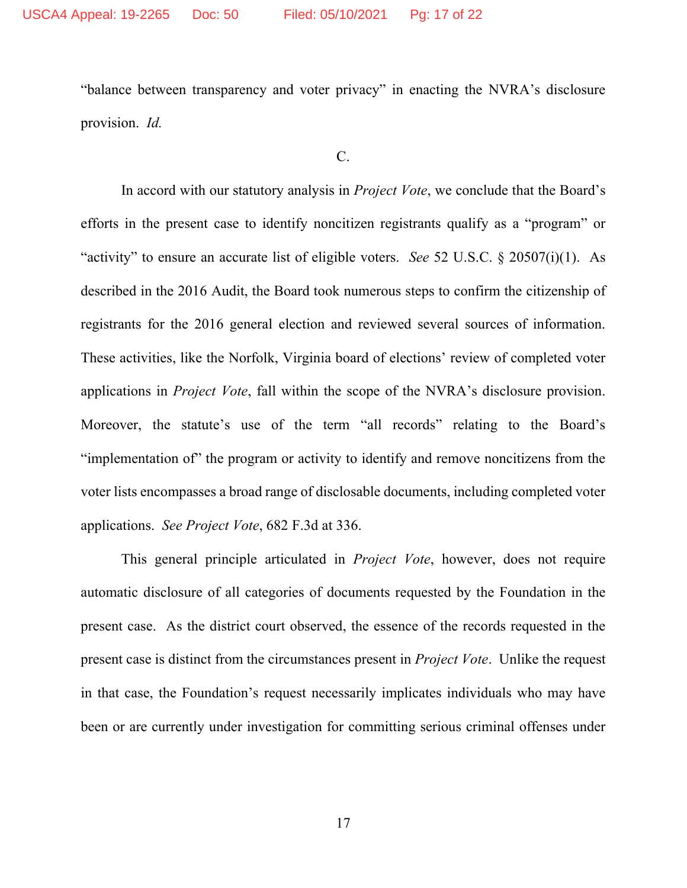"balance between transparency and voter privacy" in enacting the NVRA's disclosure provision. *Id.*

C.

In accord with our statutory analysis in *Project Vote*, we conclude that the Board's efforts in the present case to identify noncitizen registrants qualify as a "program" or "activity" to ensure an accurate list of eligible voters. *See* 52 U.S.C. § 20507(i)(1). As described in the 2016 Audit, the Board took numerous steps to confirm the citizenship of registrants for the 2016 general election and reviewed several sources of information. These activities, like the Norfolk, Virginia board of elections' review of completed voter applications in *Project Vote*, fall within the scope of the NVRA's disclosure provision. Moreover, the statute's use of the term "all records" relating to the Board's "implementation of" the program or activity to identify and remove noncitizens from the voter lists encompasses a broad range of disclosable documents, including completed voter applications. *See Project Vote*, 682 F.3d at 336.

This general principle articulated in *Project Vote*, however, does not require automatic disclosure of all categories of documents requested by the Foundation in the present case. As the district court observed, the essence of the records requested in the present case is distinct from the circumstances present in *Project Vote*. Unlike the request in that case, the Foundation's request necessarily implicates individuals who may have been or are currently under investigation for committing serious criminal offenses under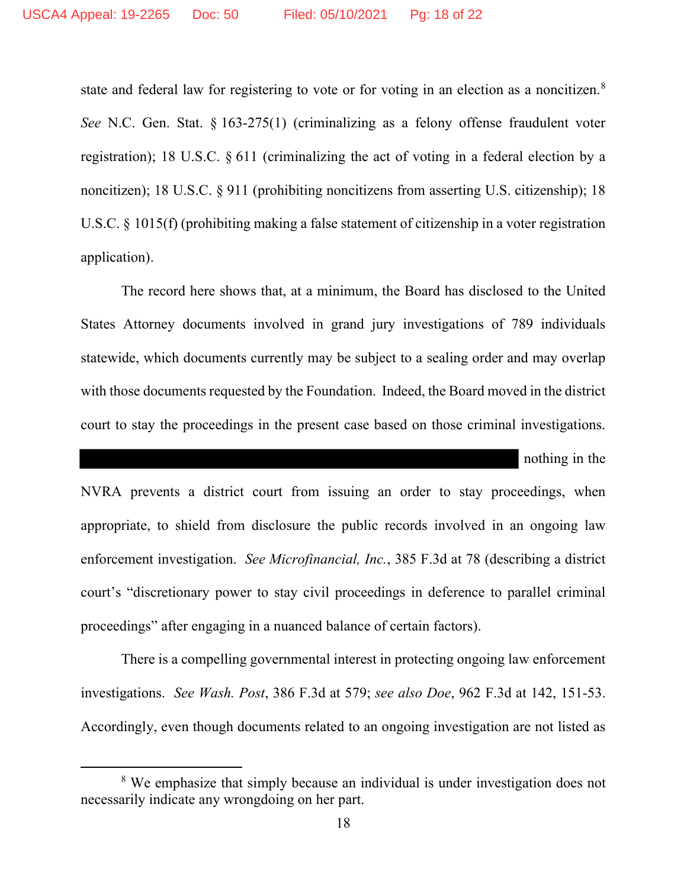state and federal law for registering to vote or for voting in an election as a noncitizen.<sup>8</sup> *See* N.C. Gen. Stat. § 163-275(1) (criminalizing as a felony offense fraudulent voter registration); 18 U.S.C. § 611 (criminalizing the act of voting in a federal election by a noncitizen); 18 U.S.C. § 911 (prohibiting noncitizens from asserting U.S. citizenship); 18 U.S.C. § 1015(f) (prohibiting making a false statement of citizenship in a voter registration application).

The record here shows that, at a minimum, the Board has disclosed to the United States Attorney documents involved in grand jury investigations of 789 individuals statewide, which documents currently may be subject to a sealing order and may overlap with those documents requested by the Foundation. Indeed, the Board moved in the district court to stay the proceedings in the present case based on those criminal investigations.

nothing in the

NVRA prevents a district court from issuing an order to stay proceedings, when appropriate, to shield from disclosure the public records involved in an ongoing law enforcement investigation. *See Microfinancial, Inc.*, 385 F.3d at 78 (describing a district court's "discretionary power to stay civil proceedings in deference to parallel criminal proceedings" after engaging in a nuanced balance of certain factors).

There is a compelling governmental interest in protecting ongoing law enforcement investigations. *See Wash. Post*, 386 F.3d at 579; *see also Doe*, 962 F.3d at 142, 151-53. Accordingly, even though documents related to an ongoing investigation are not listed as

<sup>&</sup>lt;sup>8</sup> We emphasize that simply because an individual is under investigation does not necessarily indicate any wrongdoing on her part.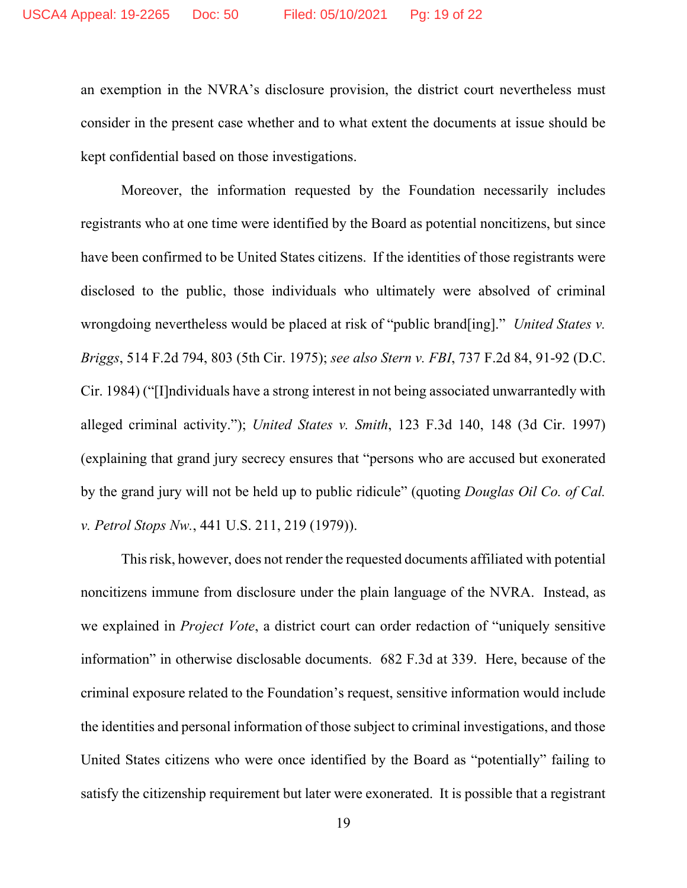an exemption in the NVRA's disclosure provision, the district court nevertheless must consider in the present case whether and to what extent the documents at issue should be kept confidential based on those investigations.

Moreover, the information requested by the Foundation necessarily includes registrants who at one time were identified by the Board as potential noncitizens, but since have been confirmed to be United States citizens. If the identities of those registrants were disclosed to the public, those individuals who ultimately were absolved of criminal wrongdoing nevertheless would be placed at risk of "public brand[ing]." *United States v. Briggs*, 514 F.2d 794, 803 (5th Cir. 1975); *see also Stern v. FBI*, 737 F.2d 84, 91-92 (D.C. Cir. 1984) ("[I]ndividuals have a strong interest in not being associated unwarrantedly with alleged criminal activity."); *United States v. Smith*, 123 F.3d 140, 148 (3d Cir. 1997) (explaining that grand jury secrecy ensures that "persons who are accused but exonerated by the grand jury will not be held up to public ridicule" (quoting *Douglas Oil Co. of Cal. v. Petrol Stops Nw.*, 441 U.S. 211, 219 (1979)).

This risk, however, does not render the requested documents affiliated with potential noncitizens immune from disclosure under the plain language of the NVRA. Instead, as we explained in *Project Vote*, a district court can order redaction of "uniquely sensitive information" in otherwise disclosable documents. 682 F.3d at 339. Here, because of the criminal exposure related to the Foundation's request, sensitive information would include the identities and personal information of those subject to criminal investigations, and those United States citizens who were once identified by the Board as "potentially" failing to satisfy the citizenship requirement but later were exonerated. It is possible that a registrant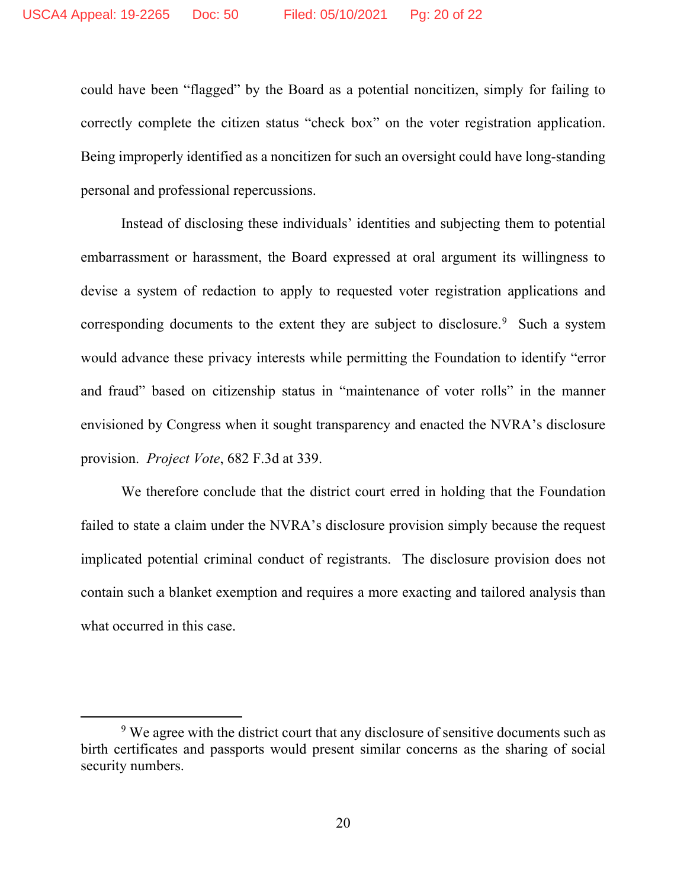could have been "flagged" by the Board as a potential noncitizen, simply for failing to correctly complete the citizen status "check box" on the voter registration application. Being improperly identified as a noncitizen for such an oversight could have long-standing personal and professional repercussions.

Instead of disclosing these individuals' identities and subjecting them to potential embarrassment or harassment, the Board expressed at oral argument its willingness to devise a system of redaction to apply to requested voter registration applications and corresponding documents to the extent they are subject to disclosure. $9$  Such a system would advance these privacy interests while permitting the Foundation to identify "error and fraud" based on citizenship status in "maintenance of voter rolls" in the manner envisioned by Congress when it sought transparency and enacted the NVRA's disclosure provision. *Project Vote*, 682 F.3d at 339.

We therefore conclude that the district court erred in holding that the Foundation failed to state a claim under the NVRA's disclosure provision simply because the request implicated potential criminal conduct of registrants. The disclosure provision does not contain such a blanket exemption and requires a more exacting and tailored analysis than what occurred in this case.

<sup>&</sup>lt;sup>9</sup> We agree with the district court that any disclosure of sensitive documents such as birth certificates and passports would present similar concerns as the sharing of social security numbers.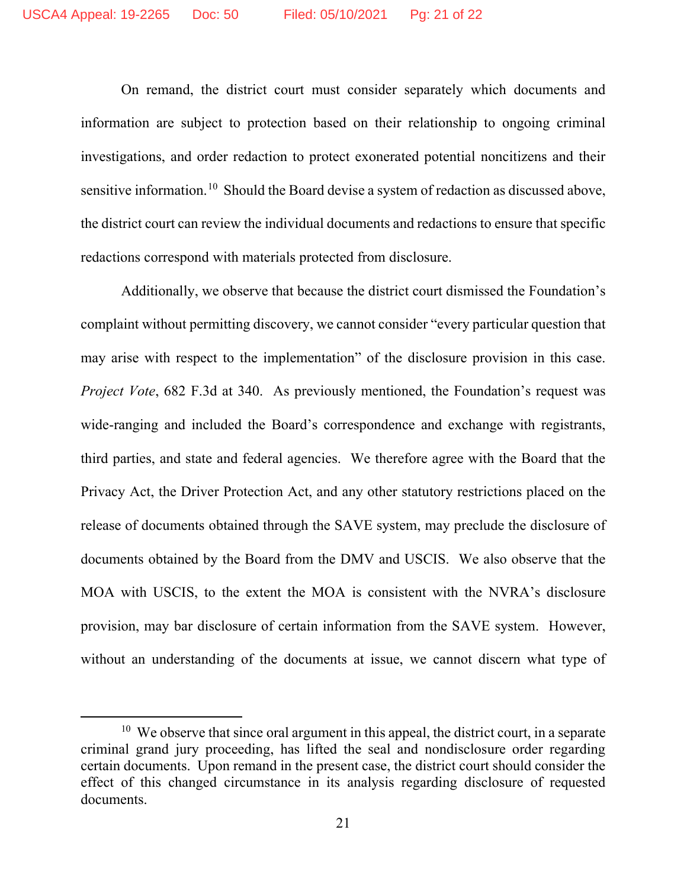On remand, the district court must consider separately which documents and information are subject to protection based on their relationship to ongoing criminal investigations, and order redaction to protect exonerated potential noncitizens and their sensitive information.<sup>10</sup> Should the Board devise a system of redaction as discussed above, the district court can review the individual documents and redactions to ensure that specific redactions correspond with materials protected from disclosure.

Additionally, we observe that because the district court dismissed the Foundation's complaint without permitting discovery, we cannot consider "every particular question that may arise with respect to the implementation" of the disclosure provision in this case. *Project Vote*, 682 F.3d at 340. As previously mentioned, the Foundation's request was wide-ranging and included the Board's correspondence and exchange with registrants, third parties, and state and federal agencies. We therefore agree with the Board that the Privacy Act, the Driver Protection Act, and any other statutory restrictions placed on the release of documents obtained through the SAVE system, may preclude the disclosure of documents obtained by the Board from the DMV and USCIS. We also observe that the MOA with USCIS, to the extent the MOA is consistent with the NVRA's disclosure provision, may bar disclosure of certain information from the SAVE system.However, without an understanding of the documents at issue, we cannot discern what type of

 $10$  We observe that since oral argument in this appeal, the district court, in a separate criminal grand jury proceeding, has lifted the seal and nondisclosure order regarding certain documents. Upon remand in the present case, the district court should consider the effect of this changed circumstance in its analysis regarding disclosure of requested documents.